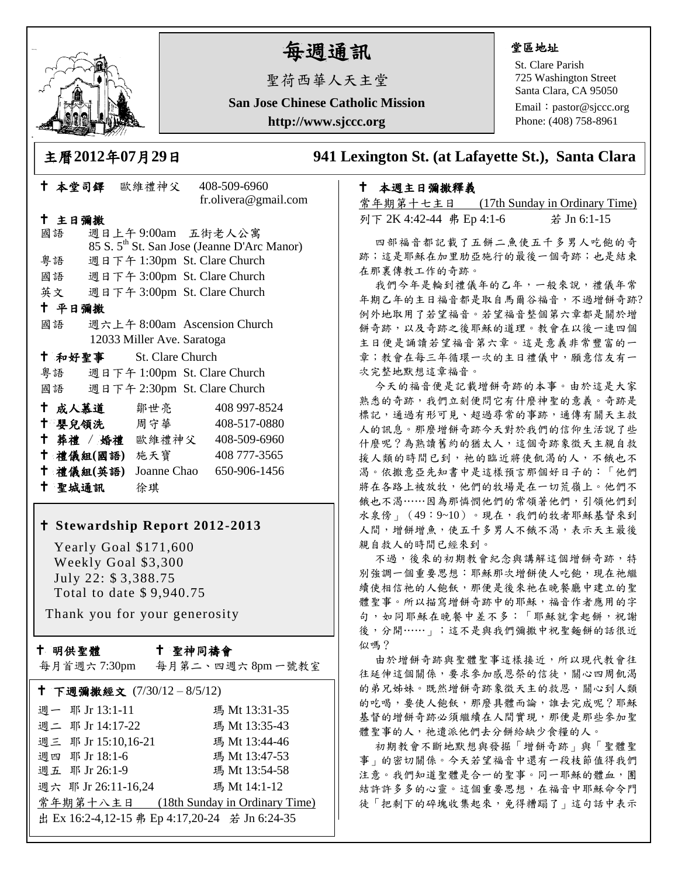

# 每週通訊

聖荷西華人天主堂

**San Jose Chinese Catholic Mission**

**http://www.sjccc.org**

#### 堂區地址

St. Clare Parish 725 Washington Street Santa Clara, CA 95050

Email: [pastor@sjccc.org](mailto:pastor@sjccc.org) Phone: (408) 758-8961

 本堂司鐸 歐維禮神父 408-509-6960 fr.olivera@gmail.com

#### 主日彌撒

國語 週日上午 9:00am 五街老人公寓 85 S. 5th St. San Jose (Jeanne D'Arc Manor) 粵語 週日下午 1:30pm St. Clare Church 國語 週日下午 3:00pm St. Clare Church 英文 週日下午 3:00pm St. Clare Church 平日彌撒 國語 週六上午 8:00am Ascension Church 12033 Miller Ave. Saratoga 和好聖事 St. Clare Church 粵語 週日下午 1:00pm St. Clare Church 國語 週日下午 2:30pm St. Clare Church 成人慕道 鄒世亮 408 997-8524 十 嬰兒領洗 周守華 408-517-0880 葬禮 / 婚禮 歐維禮神父 408-509-6960 禮儀組**(**國語**)** 施天寶 408 777-3565 禮儀組**(**英語**)** Joanne Chao 650-906-1456 聖城通訊 徐琪

#### **Stewardship Report 2012-2013**

 Yearly Goal \$171,600 Weekly Goal \$3,300 July 22: \$ 3,388.75 Total to date \$ 9,940.75

Thank you for your generosity

#### 十 明供聖體

#### 聖神同禱會

每月首週六 7:30pm 每月第二、四週六 8pm 一號教室

| † 下週彌撒經文 (7/30/12-8/5/12)                      |
|------------------------------------------------|
| 瑪 Mt 13:31-35                                  |
| 瑪 Mt 13:35-43                                  |
| 週三 耶 Jr 15:10,16-21<br>瑪 Mt 13:44-46           |
| 瑪 Mt 13:47-53                                  |
| 瑪 Mt 13:54-58                                  |
| 週六 耶 Jr 26:11-16,24<br>瑪 Mt 14:1-12            |
| 常年期第十八主日 (18th Sunday in Ordinary Time)        |
| 出 Ex 16:2-4,12-15 弗 Ep 4:17,20-24 若 Jn 6:24-35 |
|                                                |

### 主曆**2012**年**07**月**29**日 **941 Lexington St. (at Lafayette St.), Santa Clara**

#### 本週主日彌撒釋義

常年期第十七主日 (17th Sunday in Ordinary Time) 列下 2K 4:42-44 弗 Ep 4:1-6 若 Jn 6:1-15

四部福音都記載了五餅二魚使五千多男人吃飽的奇 跡;這是耶穌在加里肋亞施行的最後一個奇跡;也是結束 在那裏傳教工作的奇跡。

我們今年是輪到禮儀年的乙年,一般來說,禮儀年常 年期乙年的主日福音都是取自馬爾谷福音,不過增餅奇跡? 例外地取用了若望福音。若望福音整個第六章都是關於增 餅奇跡,以及奇跡之後耶穌的道理。教會在以後一連四個 主日便是誦讀若望福音第六章。這是意義非常豐富的一 章;教會在每三年循環一次的主日禮儀中,願意信友有一 次完整地默想這章福音。

今天的福音便是記載增餅奇跡的本事。由於這是大家 熟悉的奇跡,我們立刻便問它有什麼神聖的意義。奇跡是 標記,通過有形可見、超過尋常的事跡,通傳有關天主救 人的訊息。那麼增餅奇跡今天對於我們的信仰生活說了些 什麼呢?為熟讀舊約的猶太人,這個奇跡象徵天主親自救 援人類的時間已到,祂的臨近將使飢渴的人,不餓也不 渴。依撒意亞先知書中是這樣預言那個好日子的:「他們 將在各路上被放牧,他們的牧場是在一切荒嶺上。他們不 餓也不渴……因為那憐憫他們的常領著他們, 引領他們到 水泉傍」(49:9~10)。現在,我們的牧者耶穌基督來到 人間,增餅增魚,使五千多男人不餓不渴,表示天主最後 親自救人的時間已經來到。

不過,後來的初期教會紀念與講解這個增餅奇跡,特 別強調一個重要思想:耶穌那次增餅使人吃飽,現在祂繼 續使相信祂的人飽飫,那便是後來祂在晚餐廳中建立的聖 體聖事。所以描寫增餅奇跡中的耶穌,福音作者應用的字 句,如同耶穌在晚餐中差不多:「耶穌就拿起餅,祝謝 後,分開……」;這不是與我們彌撒中祝聖麵餅的話很近 似嗎?

由於增餅奇跡與聖體聖事這樣接近,所以現代教會往 往延伸這個關係,要求參加感恩祭的信徒,關心四周飢渴 的弟兄姊妹。既然增餅奇跡象徵天主的救恩,關心到人類 的吃喝,要使人飽飫,那麼具體而論,誰去完成呢?耶穌 基督的增餅奇跡必須繼續在人間實現,那便是那些參加聖 體聖事的人,祂遣派他們去分餅給缺少食糧的人。

初期教會不斷地默想與發掘「增餅奇跡」與「聖體聖 事」的密切關係。今天若望福音中還有一段枝節值得我們 注意。我們知道聖體是合一的聖事。同一耶穌的體血,團 結許許多多的心靈。這個重要思想,在福音中耶穌命令門 徒「把剩下的碎塊收集起來,免得糟蹋了」這句話中表示